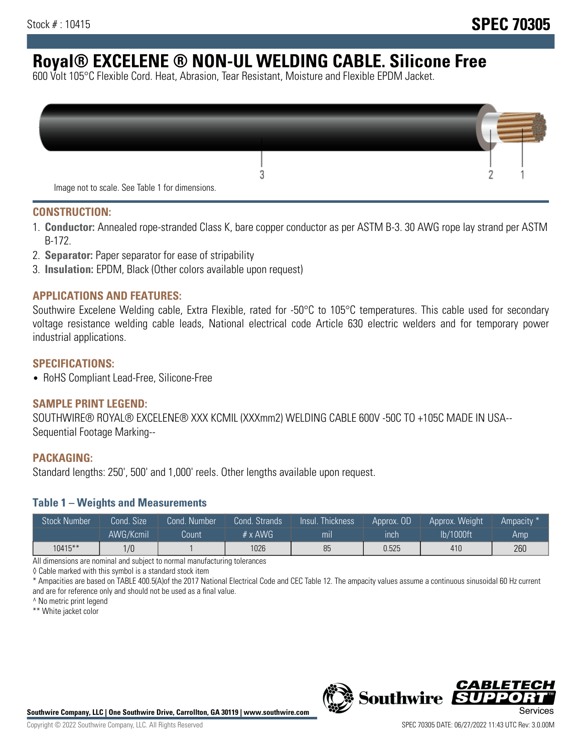# **Royal® EXCELENE ® NON-UL WELDING CABLE. Silicone Free**

600 Volt 105°C Flexible Cord. Heat, Abrasion, Tear Resistant, Moisture and Flexible EPDM Jacket.

| Image not to scale. See Table 1 for dimensions. |  |
|-------------------------------------------------|--|

#### **CONSTRUCTION:**

- 1. **Conductor:** Annealed rope-stranded Class K, bare copper conductor as per ASTM B-3. 30 AWG rope lay strand per ASTM B-172.
- 2. **Separator:** Paper separator for ease of stripability
- 3. **Insulation:** EPDM, Black (Other colors available upon request)

#### **APPLICATIONS AND FEATURES:**

Southwire Excelene Welding cable, Extra Flexible, rated for -50°C to 105°C temperatures. This cable used for secondary voltage resistance welding cable leads, National electrical code Article 630 electric welders and for temporary power industrial applications.

#### **SPECIFICATIONS:**

• RoHS Compliant Lead-Free, Silicone-Free

#### **SAMPLE PRINT LEGEND:**

SOUTHWIRE® ROYAL® EXCELENE® XXX KCMIL (XXXmm2) WELDING CABLE 600V -50C TO +105C MADE IN USA-- Sequential Footage Marking--

#### **PACKAGING:**

Standard lengths: 250', 500' and 1,000' reels. Other lengths available upon request.

#### **Table 1 – Weights and Measurements**

| <b>Stock Number</b> | Cond. Size | Cond. Number | Cond. Strands  | Insul. Thickness | Approx. OD | Approx. Weight | Ampacity * |
|---------------------|------------|--------------|----------------|------------------|------------|----------------|------------|
|                     | AWG/Kcmil  | Count        | $# \times$ AWG | mı               | inch       | lb/1000ft      | Amp        |
| $10415***$          | 1/0        |              | 1026           | 85               | 0.525      | 410            | 260        |

All dimensions are nominal and subject to normal manufacturing tolerances

◊ Cable marked with this symbol is a standard stock item

\* Ampacities are based on TABLE 400.5(A)of the 2017 National Electrical Code and CEC Table 12. The ampacity values assume a continuous sinusoidal 60 Hz current and are for reference only and should not be used as a final value.

^ No metric print legend

\*\* White jacket color



*CABLE*